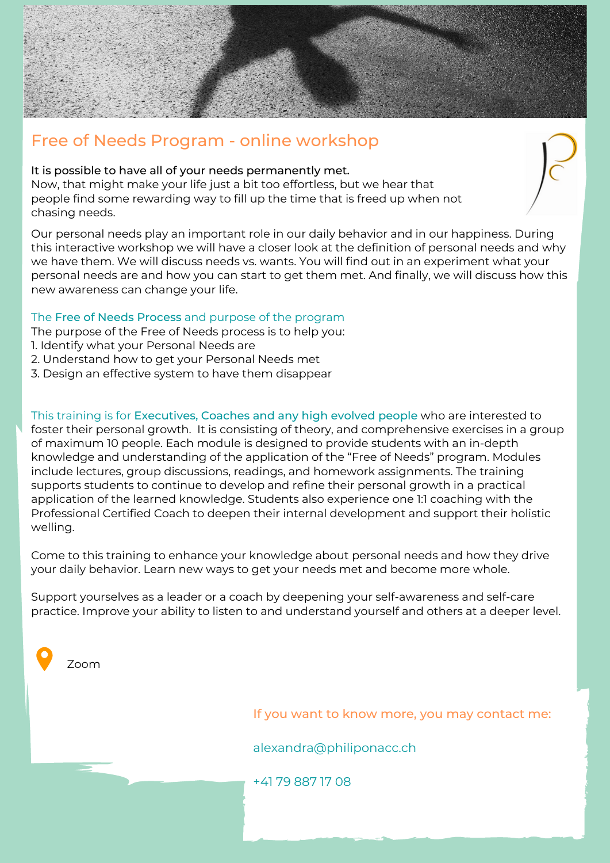

## It is possible to have all of your needs permanently met.

Now, that might make your life just a bit too effortless, but we hear that people find some rewarding way to fill up the time that is freed up when not chasing needs.

Our personal needs play an important role in our daily behavior and in our happiness. During this interactive workshop we will have a closer look at the definition of personal needs and why we have them. We will discuss needs vs. wants. You will find out in an experiment what your personal needs are and how you can start to get them met. And finally, we will discuss how this new awareness can change your life.

## The Free of Needs Process and purpose of the program

The purpose of the Free of Needs process is to help you:

- 1. Identify what your Personal Needs are
- 2. Understand how to get your Personal Needs met
- 3. Design an effective system to have them disappear

This training is for Executives, Coaches and any high evolved people who are interested to foster their personal growth. It is consisting of theory, and comprehensive exercises in a group of maximum 10 people. Each module is designed to provide students with an in-depth knowledge and understanding of the application of the "Free of Needs" program. Modules include lectures, group discussions, readings, and homework assignments. The training supports students to continue to develop and refine their personal growth in a practical application of the learned knowledge. Students also experience one 1:1 coaching with the Professional Certified Coach to deepen their internal development and support their holistic welling.

Come to this training to enhance your knowledge about personal needs and how they drive your daily behavior. Learn new ways to get your needs met and become more whole.

Support yourselves as a leader or a coach by deepening your self-awareness and self-care practice. Improve your ability to listen to and understand yourself and others at a deeper level.